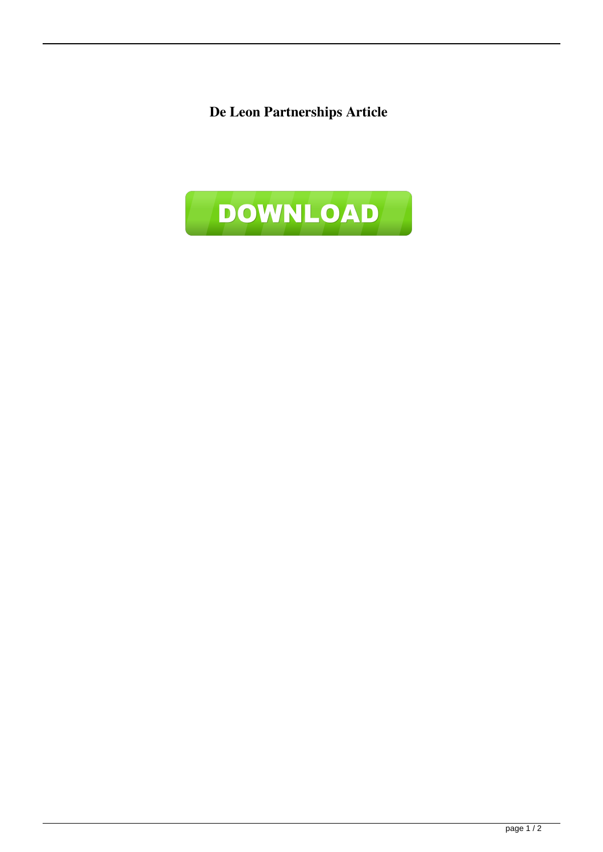**De Leon Partnerships Article**